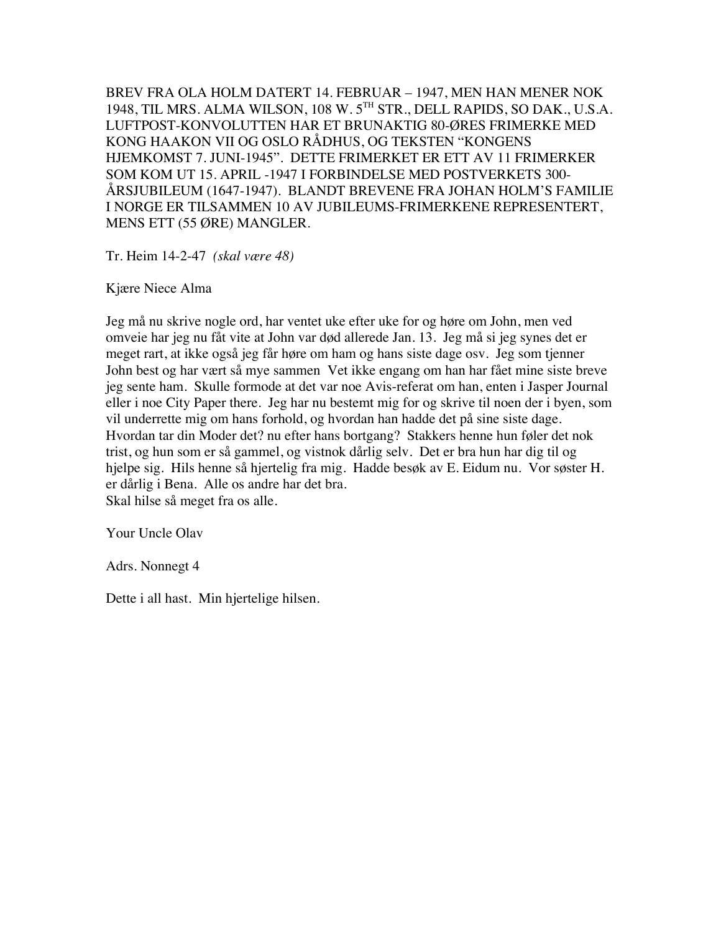BREV FRA OLA HOLM DATERT 14. FEBRUAR – 1947, MEN HAN MENER NOK 1948, TIL MRS. ALMA WILSON, 108 W. 5TH STR., DELL RAPIDS, SO DAK., U.S.A. LUFTPOST-KONVOLUTTEN HAR ET BRUNAKTIG 80-ØRES FRIMERKE MED KONG HAAKON VII OG OSLO RÅDHUS, OG TEKSTEN "KONGENS HJEMKOMST 7. JUNI-1945". DETTE FRIMERKET ER ETT AV 11 FRIMERKER SOM KOM UT 15. APRIL -1947 I FORBINDELSE MED POSTVERKETS 300- ÅRSJUBILEUM (1647-1947). BLANDT BREVENE FRA JOHAN HOLM'S FAMILIE I NORGE ER TILSAMMEN 10 AV JUBILEUMS-FRIMERKENE REPRESENTERT, MENS ETT (55 ØRE) MANGLER.

Tr. Heim 14-2-47 *(skal være 48)*

Kjære Niece Alma

Jeg må nu skrive nogle ord, har ventet uke efter uke for og høre om John, men ved omveie har jeg nu fåt vite at John var død allerede Jan. 13. Jeg må si jeg synes det er meget rart, at ikke også jeg får høre om ham og hans siste dage osv. Jeg som tjenner John best og har vært så mye sammen Vet ikke engang om han har fået mine siste breve jeg sente ham. Skulle formode at det var noe Avis-referat om han, enten i Jasper Journal eller i noe City Paper there. Jeg har nu bestemt mig for og skrive til noen der i byen, som vil underrette mig om hans forhold, og hvordan han hadde det på sine siste dage. Hvordan tar din Moder det? nu efter hans bortgang? Stakkers henne hun føler det nok trist, og hun som er så gammel, og vistnok dårlig selv. Det er bra hun har dig til og hjelpe sig. Hils henne så hjertelig fra mig. Hadde besøk av E. Eidum nu. Vor søster H. er dårlig i Bena. Alle os andre har det bra. Skal hilse så meget fra os alle.

Your Uncle Olav

Adrs. Nonnegt 4

Dette i all hast. Min hjertelige hilsen.